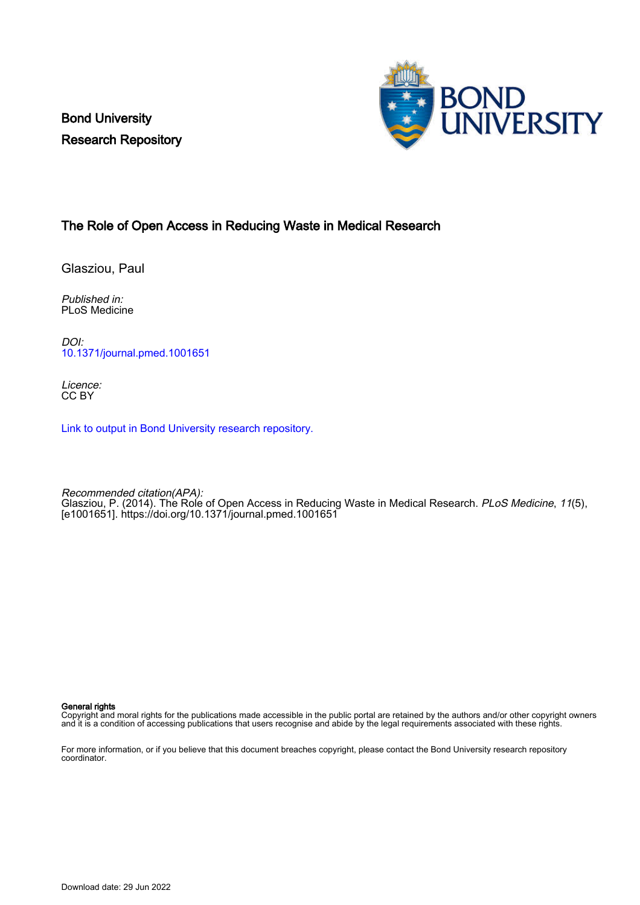Bond University Research Repository



## The Role of Open Access in Reducing Waste in Medical Research

Glasziou, Paul

Published in: PLoS Medicine

DOI: [10.1371/journal.pmed.1001651](https://doi.org/10.1371/journal.pmed.1001651)

Licence: CC BY

[Link to output in Bond University research repository.](https://research.bond.edu.au/en/publications/f416bf8c-0fc5-4751-9c91-72a430a2e4db)

Recommended citation(APA): Glasziou, P. (2014). The Role of Open Access in Reducing Waste in Medical Research. *PLoS Medicine, 11*(5), [e1001651]. <https://doi.org/10.1371/journal.pmed.1001651>

#### General rights

Copyright and moral rights for the publications made accessible in the public portal are retained by the authors and/or other copyright owners and it is a condition of accessing publications that users recognise and abide by the legal requirements associated with these rights.

For more information, or if you believe that this document breaches copyright, please contact the Bond University research repository coordinator.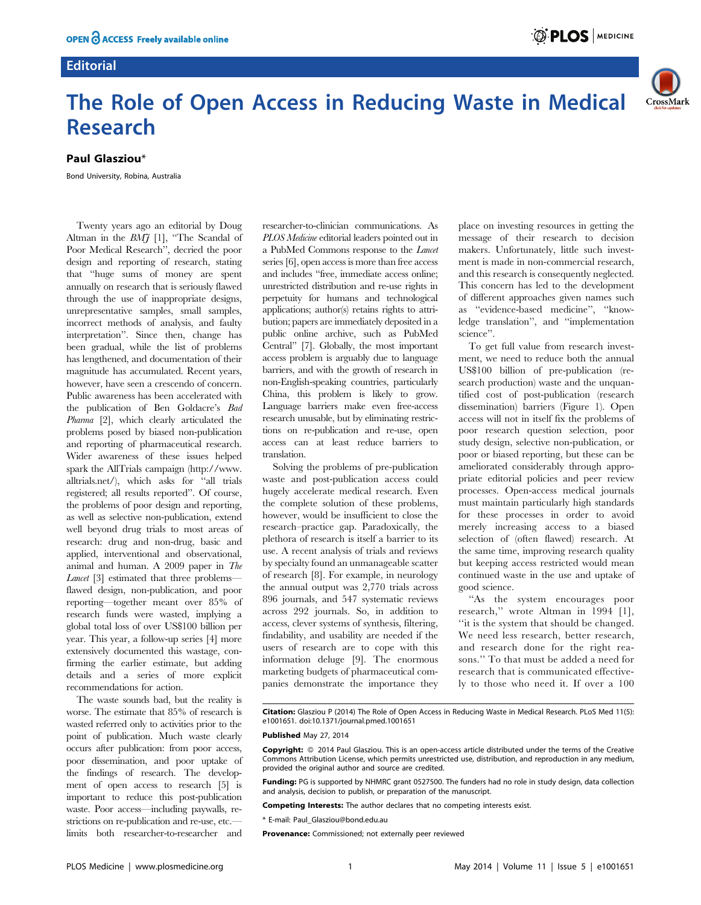## **Editorial**





# The Role of Open Access in Reducing Waste in Medical Research

## Paul Glasziou\*

Bond University, Robina, Australia

Twenty years ago an editorial by Doug Altman in the  $BMJ$  [1], "The Scandal of Poor Medical Research'', decried the poor design and reporting of research, stating that ''huge sums of money are spent annually on research that is seriously flawed through the use of inappropriate designs, unrepresentative samples, small samples, incorrect methods of analysis, and faulty interpretation''. Since then, change has been gradual, while the list of problems has lengthened, and documentation of their magnitude has accumulated. Recent years, however, have seen a crescendo of concern. Public awareness has been accelerated with the publication of Ben Goldacre's Bad Pharma [2], which clearly articulated the problems posed by biased non-publication and reporting of pharmaceutical research. Wider awareness of these issues helped spark the AllTrials campaign [\(http://www.](http://www.alltrials.net/) [alltrials.net/](http://www.alltrials.net/)), which asks for ''all trials registered; all results reported''. Of course, the problems of poor design and reporting, as well as selective non-publication, extend well beyond drug trials to most areas of research: drug and non-drug, basic and applied, interventional and observational, animal and human. A 2009 paper in The Lancet [3] estimated that three problemsflawed design, non-publication, and poor reporting—together meant over 85% of research funds were wasted, implying a global total loss of over US\$100 billion per year. This year, a follow-up series [4] more extensively documented this wastage, confirming the earlier estimate, but adding details and a series of more explicit recommendations for action.

The waste sounds bad, but the reality is worse. The estimate that 85% of research is wasted referred only to activities prior to the point of publication. Much waste clearly occurs after publication: from poor access, poor dissemination, and poor uptake of the findings of research. The development of open access to research [5] is important to reduce this post-publication waste. Poor access—including paywalls, restrictions on re-publication and re-use, etc. limits both researcher-to-researcher and

researcher-to-clinician communications. As PLOS Medicine editorial leaders pointed out in a PubMed Commons response to the Lancet series [6], open access is more than free access and includes ''free, immediate access online; unrestricted distribution and re-use rights in perpetuity for humans and technological applications; author(s) retains rights to attribution; papers are immediately deposited in a public online archive, such as PubMed Central'' [7]. Globally, the most important access problem is arguably due to language barriers, and with the growth of research in non-English-speaking countries, particularly China, this problem is likely to grow. Language barriers make even free-access research unusable, but by eliminating restrictions on re-publication and re-use, open access can at least reduce barriers to translation.

Solving the problems of pre-publication waste and post-publication access could hugely accelerate medical research. Even the complete solution of these problems, however, would be insufficient to close the research–practice gap. Paradoxically, the plethora of research is itself a barrier to its use. A recent analysis of trials and reviews by specialty found an unmanageable scatter of research [8]. For example, in neurology the annual output was 2,770 trials across 896 journals, and 547 systematic reviews across 292 journals. So, in addition to access, clever systems of synthesis, filtering, findability, and usability are needed if the users of research are to cope with this information deluge [9]. The enormous marketing budgets of pharmaceutical companies demonstrate the importance they place on investing resources in getting the message of their research to decision makers. Unfortunately, little such investment is made in non-commercial research, and this research is consequently neglected. This concern has led to the development of different approaches given names such as ''evidence-based medicine'', ''knowledge translation'', and ''implementation science''.

To get full value from research investment, we need to reduce both the annual US\$100 billion of pre-publication (research production) waste and the unquantified cost of post-publication (research dissemination) barriers (Figure 1). Open access will not in itself fix the problems of poor research question selection, poor study design, selective non-publication, or poor or biased reporting, but these can be ameliorated considerably through appropriate editorial policies and peer review processes. Open-access medical journals must maintain particularly high standards for these processes in order to avoid merely increasing access to a biased selection of (often flawed) research. At the same time, improving research quality but keeping access restricted would mean continued waste in the use and uptake of good science.

''As the system encourages poor research,'' wrote Altman in 1994 [1], ''it is the system that should be changed. We need less research, better research, and research done for the right reasons.'' To that must be added a need for research that is communicated effectively to those who need it. If over a 100

Citation: Glasziou P (2014) The Role of Open Access in Reducing Waste in Medical Research. PLoS Med 11(5): e1001651. doi:10.1371/journal.pmed.1001651

#### Published May 27, 2014

**Copyright:** © 2014 Paul Glasziou. This is an open-access article distributed under the terms of the [Creative](http://creativecommons.org/licenses/by/4.0/) [Commons Attribution License,](http://creativecommons.org/licenses/by/4.0/) which permits unrestricted use, distribution, and reproduction in any medium, provided the original author and source are credited.

Funding: PG is supported by NHMRC grant 0527500. The funders had no role in study design, data collection and analysis, decision to publish, or preparation of the manuscript.

Competing Interests: The author declares that no competing interests exist.

\* E-mail: Paul\_Glasziou@bond.edu.au

Provenance: Commissioned; not externally peer reviewed